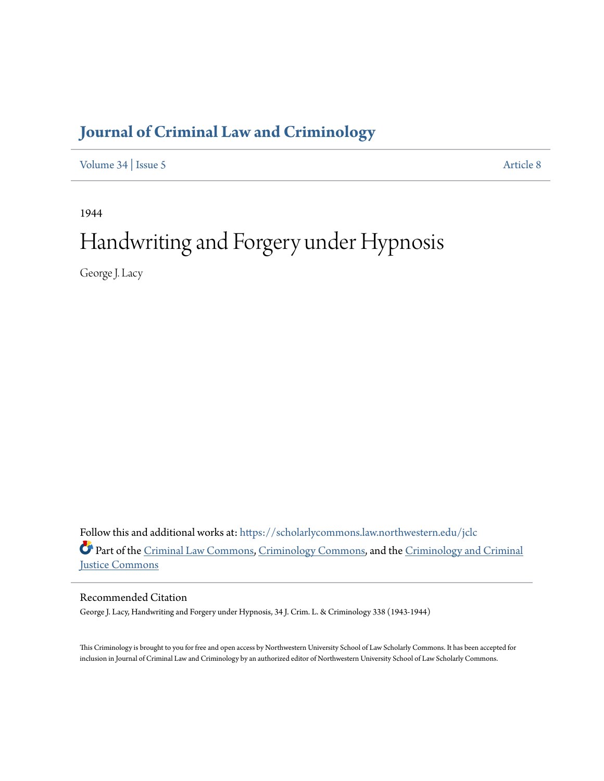## **[Journal of Criminal Law and Criminology](https://scholarlycommons.law.northwestern.edu/jclc?utm_source=scholarlycommons.law.northwestern.edu%2Fjclc%2Fvol34%2Fiss5%2F8&utm_medium=PDF&utm_campaign=PDFCoverPages)**

[Volume 34](https://scholarlycommons.law.northwestern.edu/jclc/vol34?utm_source=scholarlycommons.law.northwestern.edu%2Fjclc%2Fvol34%2Fiss5%2F8&utm_medium=PDF&utm_campaign=PDFCoverPages) | [Issue 5](https://scholarlycommons.law.northwestern.edu/jclc/vol34/iss5?utm_source=scholarlycommons.law.northwestern.edu%2Fjclc%2Fvol34%2Fiss5%2F8&utm_medium=PDF&utm_campaign=PDFCoverPages) [Article 8](https://scholarlycommons.law.northwestern.edu/jclc/vol34/iss5/8?utm_source=scholarlycommons.law.northwestern.edu%2Fjclc%2Fvol34%2Fiss5%2F8&utm_medium=PDF&utm_campaign=PDFCoverPages)

1944

# Handwriting and Forgery under Hypnosis

George J. Lacy

Follow this and additional works at: [https://scholarlycommons.law.northwestern.edu/jclc](https://scholarlycommons.law.northwestern.edu/jclc?utm_source=scholarlycommons.law.northwestern.edu%2Fjclc%2Fvol34%2Fiss5%2F8&utm_medium=PDF&utm_campaign=PDFCoverPages) Part of the [Criminal Law Commons](http://network.bepress.com/hgg/discipline/912?utm_source=scholarlycommons.law.northwestern.edu%2Fjclc%2Fvol34%2Fiss5%2F8&utm_medium=PDF&utm_campaign=PDFCoverPages), [Criminology Commons](http://network.bepress.com/hgg/discipline/417?utm_source=scholarlycommons.law.northwestern.edu%2Fjclc%2Fvol34%2Fiss5%2F8&utm_medium=PDF&utm_campaign=PDFCoverPages), and the [Criminology and Criminal](http://network.bepress.com/hgg/discipline/367?utm_source=scholarlycommons.law.northwestern.edu%2Fjclc%2Fvol34%2Fiss5%2F8&utm_medium=PDF&utm_campaign=PDFCoverPages) [Justice Commons](http://network.bepress.com/hgg/discipline/367?utm_source=scholarlycommons.law.northwestern.edu%2Fjclc%2Fvol34%2Fiss5%2F8&utm_medium=PDF&utm_campaign=PDFCoverPages)

Recommended Citation

George J. Lacy, Handwriting and Forgery under Hypnosis, 34 J. Crim. L. & Criminology 338 (1943-1944)

This Criminology is brought to you for free and open access by Northwestern University School of Law Scholarly Commons. It has been accepted for inclusion in Journal of Criminal Law and Criminology by an authorized editor of Northwestern University School of Law Scholarly Commons.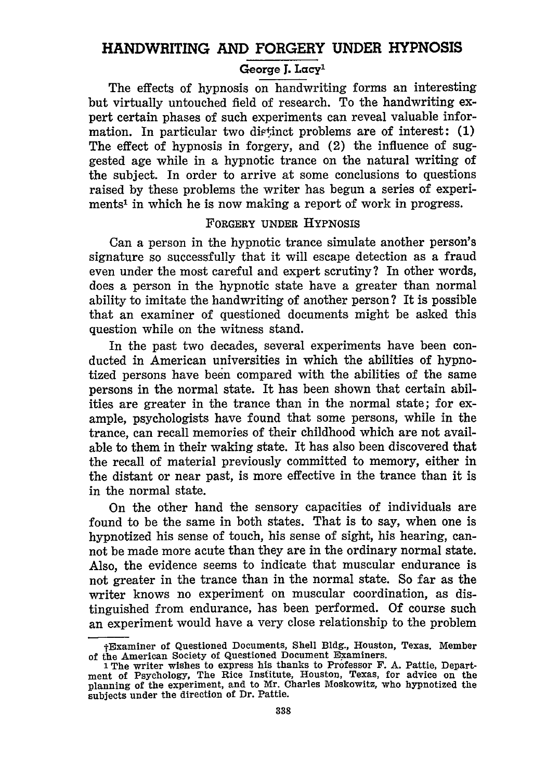### **HANDWRITING AND FORGERY UNDER HYPNOSIS** George **J.** Lacy'

The effects of hypnosis on handwriting forms an interesting but virtually untouched field of research. To the handwriting expert certain phases of such experiments can reveal valuable information. In particular two dietinct problems are of interest: **(1)** The effect of hypnosis in forgery, and (2) the influence of suggested age while in a hypnotic trance on the natural writing of the subject. In order to arrive at some conclusions to questions raised **by** these problems the writer has begun a series of experiments' in which he is now making a report of work in progress.

#### FORGERY **UNDER HYPNOSIS**

Can a person in the hypnotic trance simulate another person's signature so successfully that it will escape detection as a fraud even under the most careful and expert scrutiny? In other words, does a person in the hypnotic state have a greater than normal ability to imitate the handwriting of another person? It is possible that an examiner of questioned documents might be asked this question while on the witness stand.

In the past two decades, several experiments have been conducted in American universities in which the abilities of hypnotized persons have been compared with the abilities of the same persons in the normal state. It has been shown that certain abilities are greater in the trance than in the normal state; for example, psychologists have found that some persons, while in the trance, can recall memories of their childhood which are not available to them in their waking state. It has also been discovered that the recall of material previously committed to memory, either in the distant or near past, is more effective in the trance than it is in the normal state.

On the other hand the sensory capacities of individuals are found to be the same in both states. That is to say, when one is hypnotized his sense of touch, his sense of sight, his hearing, cannot be made more acute than they are in the ordinary normal state. Also, the evidence seems to indicate that muscular endurance is not greater in the trance than in the normal state. So far as the writer knows no experiment on muscular coordination, as distinguished from endurance, has been performed. **Of** course such an experiment would have a very close relationship to the problem

tExaminer of Questioned Documents, Shell **Bldg.,** Houston, Texas. Member of the American Society of Questioned Document Examiners.

**I** The writer wishes to express his thanks to Professor **F. A.** Pattie, Department of Psychology, The Rice Institute, Houston, Texas, for advice on the planning of the experiment, and to Mr. Charles Moskowitz, who hypnotized the subjects under the direction of Dr. Pattie.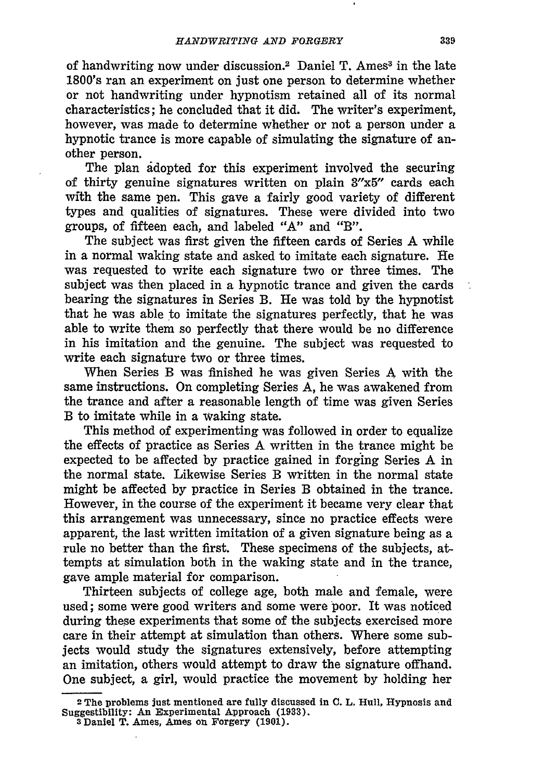of handwriting now under discussion.<sup>2</sup> Daniel T. Ames<sup>3</sup> in the late 1800's ran an experiment on just one person to determine whether or not handwriting under hypnotism retained all of its normal characteristics; he concluded that it did. The writer's experiment, however, was made to determine whether or not a person under a hypnotic trance is more capable of simulating the signature of another person.

The plan adopted for this experiment involved the securing of thirty genuine signatures written on plain 3"x5" cards each with the same pen. This gave a fairly good variety of different types and qualities of signatures. These were divided into two groups, of fifteen each, and labeled "A" and "B".

The subject was first given the fifteen cards of Series A while in a normal waking state and asked to imitate each signature. He was requested to write each signature two or three times. The subject was then placed in a hypnotic trance and given the cards bearing the signatures in Series B. **He** was told by the hypnotist that he was able to imitate the signatures perfectly, that he was able to write them so perfectly that there would be no difference in his imitation and the genuine. The subject was requested to write each signature two or three times.

When Series B was finished he was given Series A with the same instructions. On completing Series A, he was awakened from the trance and after a reasonable length of time was given Series B to imitate while in a waking state.

This method of experimenting was followed in order to equalize the effects of practice as Series A written in the trance might be expected to be affected by practice gained in forging Series A in the normal state. Likewise Series B written in the normal state might be affected by practice in Series B obtained in the trance. However, in the course of the experiment it became very clear that this arrangement was unnecessary, since no practice effects were apparent, the last written imitation of a given signature being as a rule no better than the first. These specimens of the subjects, attempts at simulation both in the waking state and in the trance, gave ample material for comparison.

Thirteen subjects of college age, both male and female, were used; some were good writers and some were poor. It was noticed during these experiments that some of the subjects exercised more care in their attempt at simulation than others. Where some subjects would study the signatures extensively, before attempting an imitation, others would attempt to draw the signature offhand. One subject, a girl, would practice the movement by holding her

**<sup>2</sup>**The problems just mentioned are fully discussed in **C.** L. Hull, Hypnosis and Suggestibility: An Experimental Approach **(1933).**

**<sup>3</sup>** Daniel T. Ames, Ames on Forgery **(1901).**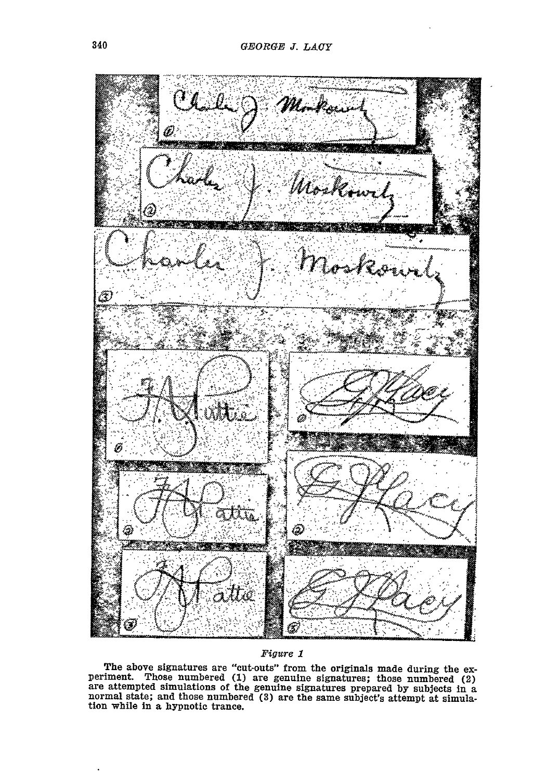

#### Figure **1**

The above signatures are "cut-outs" from the originals made during the experiment. Those numbered (1) are genuine signatures; those numbered (2) are attempted simulations of the genuine signatures prepared by subjects in a tion while in a hypnotic trance.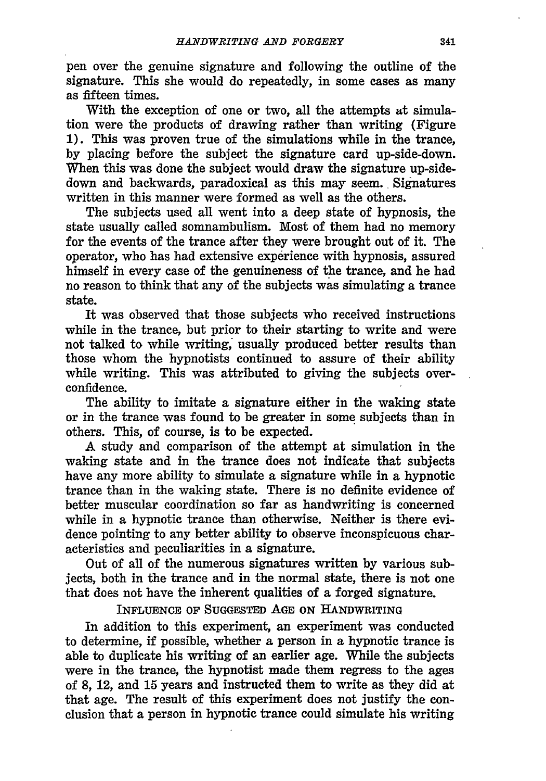pen over the genuine signature and following the outline of the signature. This she would do repeatedly, in some cases as many as fifteen times.

With the exception of one or two, all the attempts at simulation were the products of drawing rather than writing (Figure **1).** This was proven true of the simulations while in the trance, **by** placing before the subject the signature card up-side-down. When this was done the subject would draw the signature up-sidedown and backwards, paradoxical as this may seem. Signatures written in this manner were formed as well as the others.

The subjects used all went into a deep state of hypnosis, the state usually called somnambulism. Most of them had no memory for the events of the trance after they were brought out of it. The operator, who has had extensive experience with hypnosis, assured himself in every case of the genuineness of the trance, and he had no reason to think that any of the subjects was simulating a trance state.

It was observed that those subjects who received instructions while in the trance, but prior to their starting to write and were not talked to while writing, usually produced better results than those whom the hypnotists continued to assure of their ability while writing. This was attributed to giving the subjects overconfidence.

The ability to imitate a signature either in the waking state or in the trance was found to be greater in some subjects than in others. This, of course, is to be expected.

A study and comparison of the attempt at simulation in the waking state and in the trance does not indicate that subjects have any more ability to simulate a signature while in a hypnotic trance than in the waking state. There is no definite evidence of better muscular coordination so far as handwriting is concerned while in a hypnotic trance than otherwise. Neither is there evidence pointing to any better ability to observe inconspicuous characteristics and peculiarities in a signature.

Out of all of the numerous signatures written **by** various subjects, both in the trance and in the normal state, there is not one that does not have the inherent qualities of a forged signature.

**INFLUENCE** OF SUGGESTED **AGE ON** HANDWRITING

In addition to this experiment, an experiment was conducted to determine, if possible, whether a person in a hypnotic trance is able to duplicate his writing of an earlier age. While the subjects were in the trance, the hypnotist made them regress to the ages of **8,** 12, and **15** years and instructed them to write as they did at that age. The result of this experiment does not justify the conclusion that a person in hypnotic trance could simulate his writing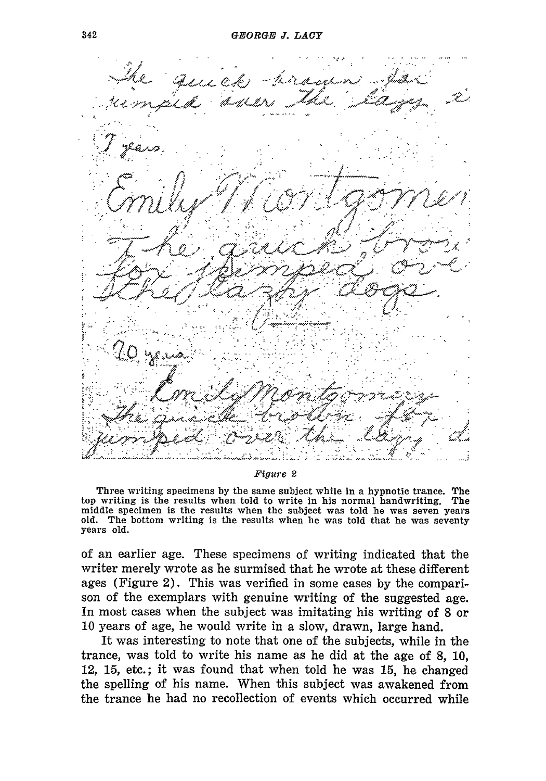>rkt 6- . *-* .. .. *7* **\*** : . "/.,,. x' 1 >2 **7;/ - ,,,,, A... • ,** ta **:t** c **, .-: - C,:.-- .,** *.* **.1 1. . ,, ..** *>* **-4-1** The wriin specmen **by** th same. sujc while in a hynoi **.** trne The. <sup>t</sup>**-,** w **. .**--. when told to ri te **'** his n ,,-l hanw-i ing The

Figure 2

Three writing specimens by the same subject while in a hypnotic trance. The top writing is the results when told to write in his normal handwriting. The middle specimen is the results when the subject was told he was seven old. The bottom writing is the results when he was told that he was seventy years old.

**of an earlier age. These specimens of writing indicated that the writer merely wrote as he surmised that he wrote at these different ages (Figure 2). This was verified in some cases by the comparison of the exemplars with genuine writing of the suggested age. In most cases when the subject was imitating his writing of 8 or 10 years of age, he would write in a slow, drawn, large hand.**

**It was interesting to note that one of the subjects, while in the trance, was told to write his name as he did at the age of 8, 10,** *12, 15,* **etc. ; it was found that when told he was 15, he changed the spelling of his name. When this subject was awakened from the trance he had no recollection of events which occurred while**